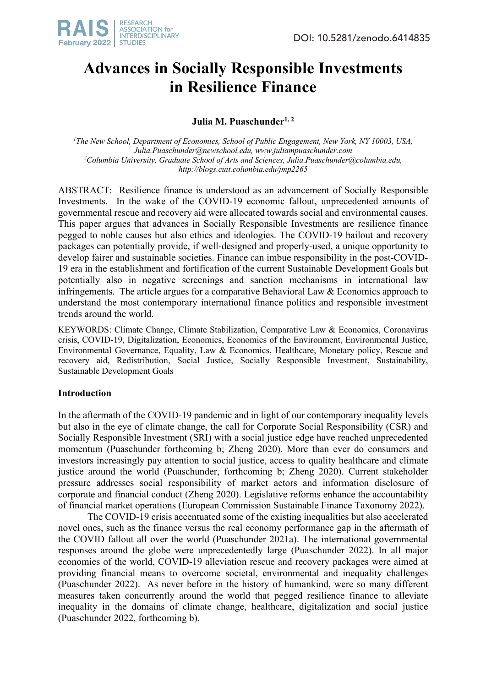

# **Advances in Socially Responsible Investments in Resilience Finance**

# Julia M. Puaschunder<sup>1, 2</sup>

<sup>1</sup>The New School, Department of Economics, School of Public Engagement, New York, NY 10003, USA, *Julia.Puaschunder@newschool.edu, www.juliampuaschunder.com 2 Columbia University, Graduate School of Arts and Sciences, Julia.Puaschunder@columbia.edu, http://blogs.cuit.columbia.edu/jmp2265*

ABSTRACT: Resilience finance is understood as an advancement of Socially Responsible Investments. In the wake of the COVID-19 economic fallout, unprecedented amounts of governmental rescue and recovery aid were allocated towards social and environmental causes. This paper argues that advances in Socially Responsible Investments are resilience finance pegged to noble causes but also ethics and ideologies. The COVID-19 bailout and recovery packages can potentially provide, if well-designed and properly-used, a unique opportunity to develop fairer and sustainable societies. Finance can imbue responsibility in the post-COVID-19 era in the establishment and fortification of the current Sustainable Development Goals but potentially also in negative screenings and sanction mechanisms in international law infringements. The article argues for a comparative Behavioral Law & Economics approach to understand the most contemporary international finance politics and responsible investment trends around the world. 

KEYWORDS: Climate Change, Climate Stabilization, Comparative Law & Economics, Coronavirus crisis, COVID-19, Digitalization, Economics, Economics of the Environment, Environmental Justice, Environmental Governance, Equality, Law & Economics, Healthcare, Monetary policy, Rescue and recovery aid, Redistribution, Social Justice, Socially Responsible Investment, Sustainability, Sustainable Development Goals

# **Introduction**

In the aftermath of the COVID-19 pandemic and in light of our contemporary inequality levels but also in the eye of climate change, the call for Corporate Social Responsibility (CSR) and Socially Responsible Investment (SRI) with a social justice edge have reached unprecedented momentum (Puaschunder forthcoming b; Zheng 2020). More than ever do consumers and investors increasingly pay attention to social justice, access to quality healthcare and climate justice around the world (Puaschunder, forthcoming b; Zheng 2020). Current stakeholder pressure addresses social responsibility of market actors and information disclosure of corporate and financial conduct (Zheng 2020). Legislative reforms enhance the accountability of financial market operations (European Commission Sustainable Finance Taxonomy 2022).

The COVID-19 crisis accentuated some of the existing inequalities but also accelerated novel ones, such as the finance versus the real economy performance gap in the aftermath of the COVID fallout all over the world (Puaschunder 2021a). The international governmental responses around the globe were unprecedentedly large (Puaschunder 2022). In all major economies of the world, COVID-19 alleviation rescue and recovery packages were aimed at providing financial means to overcome societal, environmental and inequality challenges (Puaschunder 2022). As never before in the history of humankind, were so many different measures taken concurrently around the world that pegged resilience finance to alleviate inequality in the domains of climate change, healthcare, digitalization and social justice (Puaschunder 2022, forthcoming b).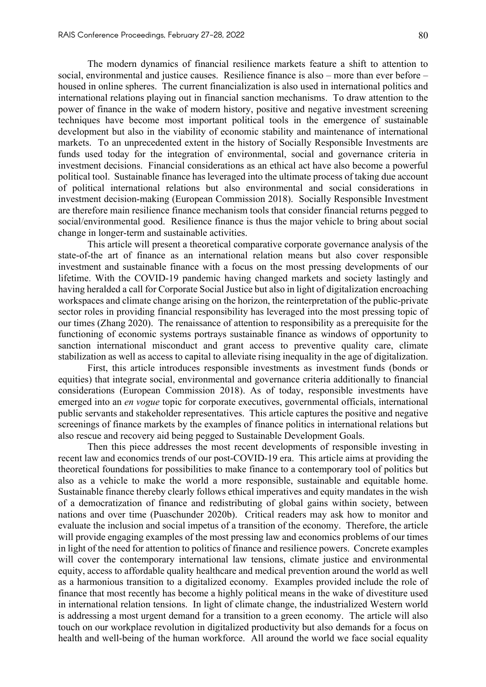The modern dynamics of financial resilience markets feature a shift to attention to social, environmental and justice causes. Resilience finance is also – more than ever before – housed in online spheres. The current financialization is also used in international politics and international relations playing out in financial sanction mechanisms. To draw attention to the power of finance in the wake of modern history, positive and negative investment screening techniques have become most important political tools in the emergence of sustainable development but also in the viability of economic stability and maintenance of international markets. To an unprecedented extent in the history of Socially Responsible Investments are funds used today for the integration of environmental, social and governance criteria in investment decisions. Financial considerations as an ethical act have also become a powerful political tool. Sustainable finance has leveraged into the ultimate process of taking due account of political international relations but also environmental and social considerations in investment decision-making (European Commission 2018). Socially Responsible Investment are therefore main resilience finance mechanism tools that consider financial returns pegged to social/environmental good. Resilience finance is thus the major vehicle to bring about social change in longer-term and sustainable activities.

This article will present a theoretical comparative corporate governance analysis of the state-of-the art of finance as an international relation means but also cover responsible investment and sustainable finance with a focus on the most pressing developments of our lifetime. With the COVID-19 pandemic having changed markets and society lastingly and having heralded a call for Corporate Social Justice but also in light of digitalization encroaching workspaces and climate change arising on the horizon, the reinterpretation of the public-private sector roles in providing financial responsibility has leveraged into the most pressing topic of our times (Zhang 2020). The renaissance of attention to responsibility as a prerequisite for the functioning of economic systems portrays sustainable finance as windows of opportunity to sanction international misconduct and grant access to preventive quality care, climate stabilization as well as access to capital to alleviate rising inequality in the age of digitalization.

First, this article introduces responsible investments as investment funds (bonds or equities) that integrate social, environmental and governance criteria additionally to financial considerations (European Commission 2018). As of today, responsible investments have emerged into an *en vogue* topic for corporate executives, governmental officials, international public servants and stakeholder representatives. This article captures the positive and negative screenings of finance markets by the examples of finance politics in international relations but also rescue and recovery aid being pegged to Sustainable Development Goals.

Then this piece addresses the most recent developments of responsible investing in recent law and economics trends of our post-COVID-19 era. This article aims at providing the theoretical foundations for possibilities to make finance to a contemporary tool of politics but also as a vehicle to make the world a more responsible, sustainable and equitable home. Sustainable finance thereby clearly follows ethical imperatives and equity mandates in the wish of a democratization of finance and redistributing of global gains within society, between nations and over time (Puaschunder 2020b). Critical readers may ask how to monitor and evaluate the inclusion and social impetus of a transition of the economy. Therefore, the article will provide engaging examples of the most pressing law and economics problems of our times in light of the need for attention to politics of finance and resilience powers. Concrete examples will cover the contemporary international law tensions, climate justice and environmental equity, access to affordable quality healthcare and medical prevention around the world as well as a harmonious transition to a digitalized economy. Examples provided include the role of finance that most recently has become a highly political means in the wake of divestiture used in international relation tensions. In light of climate change, the industrialized Western world is addressing a most urgent demand for a transition to a green economy. The article will also touch on our workplace revolution in digitalized productivity but also demands for a focus on health and well-being of the human workforce. All around the world we face social equality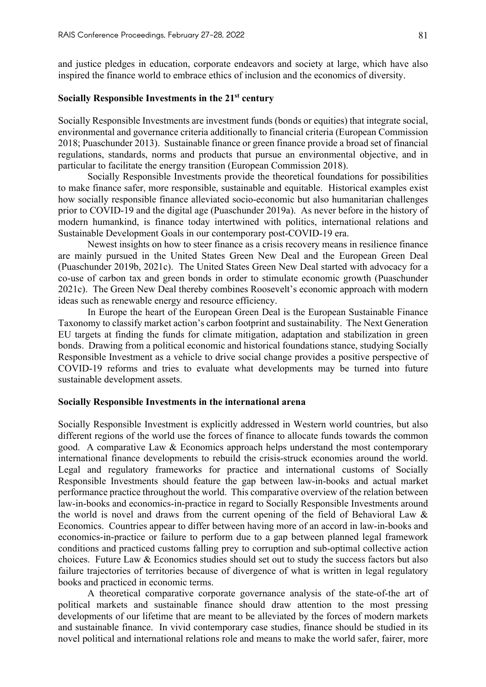and justice pledges in education, corporate endeavors and society at large, which have also inspired the finance world to embrace ethics of inclusion and the economics of diversity.

# **Socially Responsible Investments in the 21st century**

Socially Responsible Investments are investment funds (bonds or equities) that integrate social, environmental and governance criteria additionally to financial criteria (European Commission 2018; Puaschunder 2013). Sustainable finance or green finance provide a broad set of financial regulations, standards, norms and products that pursue an environmental objective, and in particular to facilitate the energy transition (European Commission 2018).

Socially Responsible Investments provide the theoretical foundations for possibilities to make finance safer, more responsible, sustainable and equitable. Historical examples exist how socially responsible finance alleviated socio-economic but also humanitarian challenges prior to COVID-19 and the digital age (Puaschunder 2019a). As never before in the history of modern humankind, is finance today intertwined with politics, international relations and Sustainable Development Goals in our contemporary post-COVID-19 era.

Newest insights on how to steer finance as a crisis recovery means in resilience finance are mainly pursued in the United States Green New Deal and the European Green Deal (Puaschunder 2019b, 2021c). The United States Green New Deal started with advocacy for a co-use of carbon tax and green bonds in order to stimulate economic growth (Puaschunder 2021c). The Green New Deal thereby combines Roosevelt's economic approach with modern ideas such as renewable energy and resource efficiency.

In Europe the heart of the European Green Deal is the European Sustainable Finance Taxonomy to classify market action's carbon footprint and sustainability. The Next Generation EU targets at finding the funds for climate mitigation, adaptation and stabilization in green bonds. Drawing from a political economic and historical foundations stance, studying Socially Responsible Investment as a vehicle to drive social change provides a positive perspective of COVID-19 reforms and tries to evaluate what developments may be turned into future sustainable development assets.

## **Socially Responsible Investments in the international arena**

Socially Responsible Investment is explicitly addressed in Western world countries, but also different regions of the world use the forces of finance to allocate funds towards the common good. A comparative Law & Economics approach helps understand the most contemporary international finance developments to rebuild the crisis-struck economies around the world. Legal and regulatory frameworks for practice and international customs of Socially Responsible Investments should feature the gap between law-in-books and actual market performance practice throughout the world. This comparative overview of the relation between law-in-books and economics-in-practice in regard to Socially Responsible Investments around the world is novel and draws from the current opening of the field of Behavioral Law & Economics. Countries appear to differ between having more of an accord in law-in-books and economics-in-practice or failure to perform due to a gap between planned legal framework conditions and practiced customs falling prey to corruption and sub-optimal collective action choices. Future Law & Economics studies should set out to study the success factors but also failure trajectories of territories because of divergence of what is written in legal regulatory books and practiced in economic terms.

A theoretical comparative corporate governance analysis of the state-of-the art of political markets and sustainable finance should draw attention to the most pressing developments of our lifetime that are meant to be alleviated by the forces of modern markets and sustainable finance. In vivid contemporary case studies, finance should be studied in its novel political and international relations role and means to make the world safer, fairer, more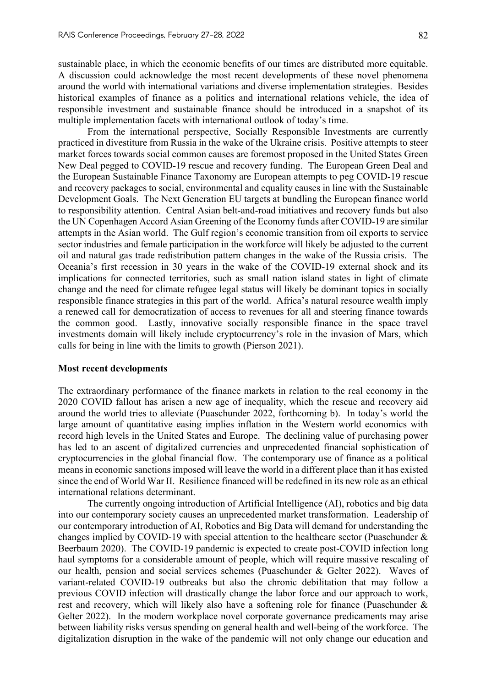sustainable place, in which the economic benefits of our times are distributed more equitable. A discussion could acknowledge the most recent developments of these novel phenomena around the world with international variations and diverse implementation strategies. Besides historical examples of finance as a politics and international relations vehicle, the idea of responsible investment and sustainable finance should be introduced in a snapshot of its multiple implementation facets with international outlook of today's time.

From the international perspective, Socially Responsible Investments are currently practiced in divestiture from Russia in the wake of the Ukraine crisis. Positive attempts to steer market forces towards social common causes are foremost proposed in the United States Green New Deal pegged to COVID-19 rescue and recovery funding. The European Green Deal and the European Sustainable Finance Taxonomy are European attempts to peg COVID-19 rescue and recovery packages to social, environmental and equality causes in line with the Sustainable Development Goals. The Next Generation EU targets at bundling the European finance world to responsibility attention. Central Asian belt-and-road initiatives and recovery funds but also the UN Copenhagen Accord Asian Greening of the Economy funds after COVID-19 are similar attempts in the Asian world. The Gulf region's economic transition from oil exports to service sector industries and female participation in the workforce will likely be adjusted to the current oil and natural gas trade redistribution pattern changes in the wake of the Russia crisis. The Oceania's first recession in 30 years in the wake of the COVID-19 external shock and its implications for connected territories, such as small nation island states in light of climate change and the need for climate refugee legal status will likely be dominant topics in socially responsible finance strategies in this part of the world. Africa's natural resource wealth imply a renewed call for democratization of access to revenues for all and steering finance towards the common good. Lastly, innovative socially responsible finance in the space travel investments domain will likely include cryptocurrency's role in the invasion of Mars, which calls for being in line with the limits to growth (Pierson 2021).

### **Most recent developments**

The extraordinary performance of the finance markets in relation to the real economy in the 2020 COVID fallout has arisen a new age of inequality, which the rescue and recovery aid around the world tries to alleviate (Puaschunder 2022, forthcoming b). In today's world the large amount of quantitative easing implies inflation in the Western world economics with record high levels in the United States and Europe. The declining value of purchasing power has led to an ascent of digitalized currencies and unprecedented financial sophistication of cryptocurrencies in the global financial flow. The contemporary use of finance as a political means in economic sanctions imposed will leave the world in a different place than it has existed since the end of World War II. Resilience financed will be redefined in its new role as an ethical international relations determinant.

The currently ongoing introduction of Artificial Intelligence (AI), robotics and big data into our contemporary society causes an unprecedented market transformation. Leadership of our contemporary introduction of AI, Robotics and Big Data will demand for understanding the changes implied by COVID-19 with special attention to the healthcare sector (Puaschunder & Beerbaum 2020). The COVID-19 pandemic is expected to create post-COVID infection long haul symptoms for a considerable amount of people, which will require massive rescaling of our health, pension and social services schemes (Puaschunder & Gelter 2022). Waves of variant-related COVID-19 outbreaks but also the chronic debilitation that may follow a previous COVID infection will drastically change the labor force and our approach to work, rest and recovery, which will likely also have a softening role for finance (Puaschunder & Gelter 2022). In the modern workplace novel corporate governance predicaments may arise between liability risks versus spending on general health and well-being of the workforce. The digitalization disruption in the wake of the pandemic will not only change our education and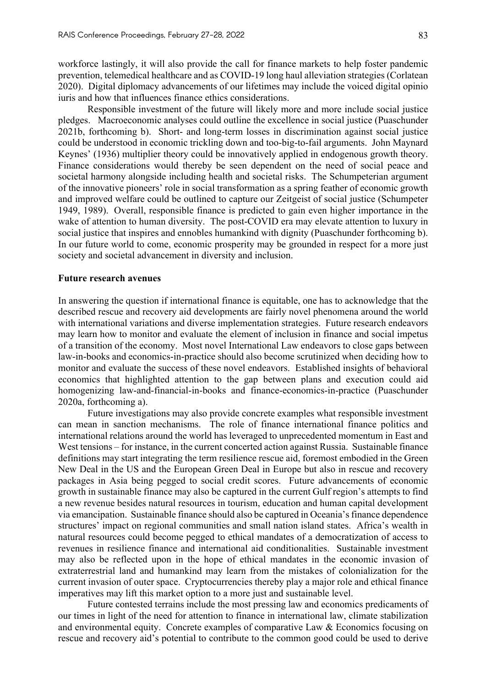workforce lastingly, it will also provide the call for finance markets to help foster pandemic prevention, telemedical healthcare and as COVID-19 long haul alleviation strategies (Corlatean 2020). Digital diplomacy advancements of our lifetimes may include the voiced digital opinio iuris and how that influences finance ethics considerations.

Responsible investment of the future will likely more and more include social justice pledges. Macroeconomic analyses could outline the excellence in social justice (Puaschunder 2021b, forthcoming b). Short- and long-term losses in discrimination against social justice could be understood in economic trickling down and too-big-to-fail arguments. John Maynard Keynes' (1936) multiplier theory could be innovatively applied in endogenous growth theory. Finance considerations would thereby be seen dependent on the need of social peace and societal harmony alongside including health and societal risks. The Schumpeterian argument of the innovative pioneers' role in social transformation as a spring feather of economic growth and improved welfare could be outlined to capture our Zeitgeist of social justice (Schumpeter 1949, 1989). Overall, responsible finance is predicted to gain even higher importance in the wake of attention to human diversity. The post-COVID era may elevate attention to luxury in social justice that inspires and ennobles humankind with dignity (Puaschunder forthcoming b). In our future world to come, economic prosperity may be grounded in respect for a more just society and societal advancement in diversity and inclusion.

### **Future research avenues**

In answering the question if international finance is equitable, one has to acknowledge that the described rescue and recovery aid developments are fairly novel phenomena around the world with international variations and diverse implementation strategies. Future research endeavors may learn how to monitor and evaluate the element of inclusion in finance and social impetus of a transition of the economy. Most novel International Law endeavors to close gaps between law-in-books and economics-in-practice should also become scrutinized when deciding how to monitor and evaluate the success of these novel endeavors. Established insights of behavioral economics that highlighted attention to the gap between plans and execution could aid homogenizing law-and-financial-in-books and finance-economics-in-practice (Puaschunder 2020a, forthcoming a).

Future investigations may also provide concrete examples what responsible investment can mean in sanction mechanisms. The role of finance international finance politics and international relations around the world has leveraged to unprecedented momentum in East and West tensions – for instance, in the current concerted action against Russia. Sustainable finance definitions may start integrating the term resilience rescue aid, foremost embodied in the Green New Deal in the US and the European Green Deal in Europe but also in rescue and recovery packages in Asia being pegged to social credit scores. Future advancements of economic growth in sustainable finance may also be captured in the current Gulf region's attempts to find a new revenue besides natural resources in tourism, education and human capital development via emancipation. Sustainable finance should also be captured in Oceania's finance dependence structures' impact on regional communities and small nation island states. Africa's wealth in natural resources could become pegged to ethical mandates of a democratization of access to revenues in resilience finance and international aid conditionalities. Sustainable investment may also be reflected upon in the hope of ethical mandates in the economic invasion of extraterrestrial land and humankind may learn from the mistakes of colonialization for the current invasion of outer space. Cryptocurrencies thereby play a major role and ethical finance imperatives may lift this market option to a more just and sustainable level.

Future contested terrains include the most pressing law and economics predicaments of our times in light of the need for attention to finance in international law, climate stabilization and environmental equity. Concrete examples of comparative Law & Economics focusing on rescue and recovery aid's potential to contribute to the common good could be used to derive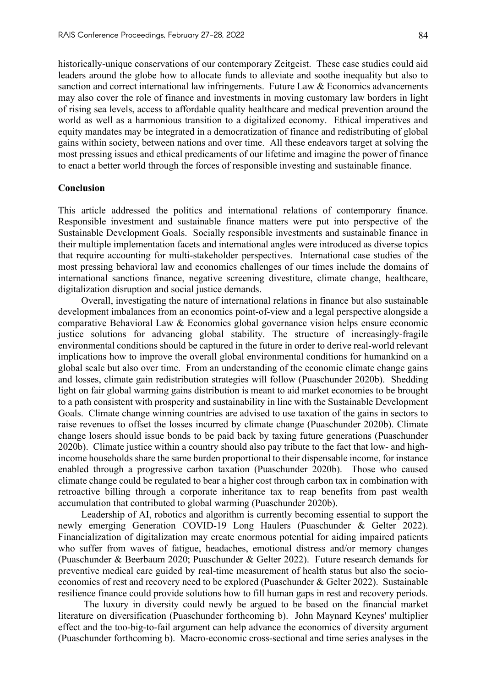historically-unique conservations of our contemporary Zeitgeist. These case studies could aid leaders around the globe how to allocate funds to alleviate and soothe inequality but also to sanction and correct international law infringements. Future Law & Economics advancements may also cover the role of finance and investments in moving customary law borders in light of rising sea levels, access to affordable quality healthcare and medical prevention around the world as well as a harmonious transition to a digitalized economy. Ethical imperatives and equity mandates may be integrated in a democratization of finance and redistributing of global gains within society, between nations and over time. All these endeavors target at solving the most pressing issues and ethical predicaments of our lifetime and imagine the power of finance to enact a better world through the forces of responsible investing and sustainable finance.

## **Conclusion**

This article addressed the politics and international relations of contemporary finance. Responsible investment and sustainable finance matters were put into perspective of the Sustainable Development Goals. Socially responsible investments and sustainable finance in their multiple implementation facets and international angles were introduced as diverse topics that require accounting for multi-stakeholder perspectives. International case studies of the most pressing behavioral law and economics challenges of our times include the domains of international sanctions finance, negative screening divestiture, climate change, healthcare, digitalization disruption and social justice demands.

Overall, investigating the nature of international relations in finance but also sustainable development imbalances from an economics point-of-view and a legal perspective alongside a comparative Behavioral Law & Economics global governance vision helps ensure economic justice solutions for advancing global stability. The structure of increasingly-fragile environmental conditions should be captured in the future in order to derive real-world relevant implications how to improve the overall global environmental conditions for humankind on a global scale but also over time. From an understanding of the economic climate change gains and losses, climate gain redistribution strategies will follow (Puaschunder 2020b). Shedding light on fair global warming gains distribution is meant to aid market economies to be brought to a path consistent with prosperity and sustainability in line with the Sustainable Development Goals. Climate change winning countries are advised to use taxation of the gains in sectors to raise revenues to offset the losses incurred by climate change (Puaschunder 2020b). Climate change losers should issue bonds to be paid back by taxing future generations (Puaschunder 2020b). Climate justice within a country should also pay tribute to the fact that low- and highincome households share the same burden proportional to their dispensable income, for instance enabled through a progressive carbon taxation (Puaschunder 2020b). Those who caused climate change could be regulated to bear a higher cost through carbon tax in combination with retroactive billing through a corporate inheritance tax to reap benefits from past wealth accumulation that contributed to global warming (Puaschunder 2020b).

Leadership of AI, robotics and algorithm is currently becoming essential to support the newly emerging Generation COVID-19 Long Haulers (Puaschunder & Gelter 2022). Financialization of digitalization may create enormous potential for aiding impaired patients who suffer from waves of fatigue, headaches, emotional distress and/or memory changes (Puaschunder & Beerbaum 2020; Puaschunder & Gelter 2022). Future research demands for preventive medical care guided by real-time measurement of health status but also the socioeconomics of rest and recovery need to be explored (Puaschunder & Gelter 2022). Sustainable resilience finance could provide solutions how to fill human gaps in rest and recovery periods.

The luxury in diversity could newly be argued to be based on the financial market literature on diversification (Puaschunder forthcoming b). John Maynard Keynes' multiplier effect and the too-big-to-fail argument can help advance the economics of diversity argument (Puaschunder forthcoming b). Macro-economic cross-sectional and time series analyses in the